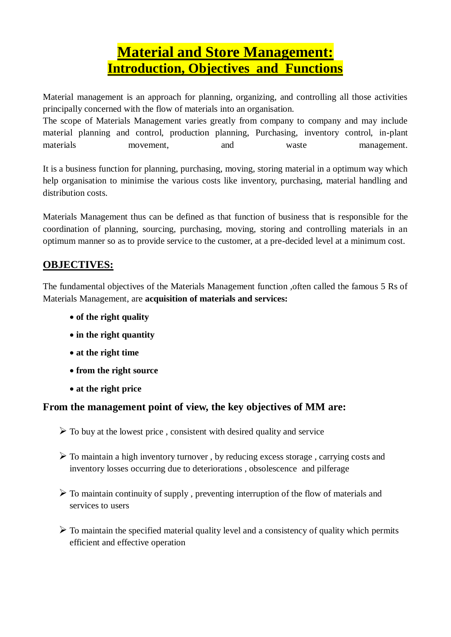# **Material and Store Management: Introduction, Objectives and Functions**

Material management is an approach for planning, organizing, and controlling all those activities principally concerned with the flow of materials into an organisation.

The scope of Materials Management varies greatly from company to company and may include material planning and control, production planning, Purchasing, inventory control, in-plant materials movement, and waste management.

It is a business function for planning, purchasing, moving, storing material in a optimum way which help organisation to minimise the various costs like inventory, purchasing, material handling and distribution costs.

Materials Management thus can be defined as that function of business that is responsible for the coordination of planning, sourcing, purchasing, moving, storing and controlling materials in an optimum manner so as to provide service to the customer, at a pre-decided level at a minimum cost.

# **OBJECTIVES:**

The fundamental objectives of the Materials Management function ,often called the famous 5 Rs of Materials Management, are **acquisition of materials and services:**

- **of the right quality**
- **in the right quantity**
- **at the right time**
- **from the right source**
- **at the right price**

# **From the management point of view, the key objectives of MM are:**

- $\triangleright$  To buy at the lowest price, consistent with desired quality and service
- $\triangleright$  To maintain a high inventory turnover, by reducing excess storage, carrying costs and inventory losses occurring due to deteriorations , obsolescence and pilferage
- $\triangleright$  To maintain continuity of supply, preventing interruption of the flow of materials and services to users
- $\triangleright$  To maintain the specified material quality level and a consistency of quality which permits efficient and effective operation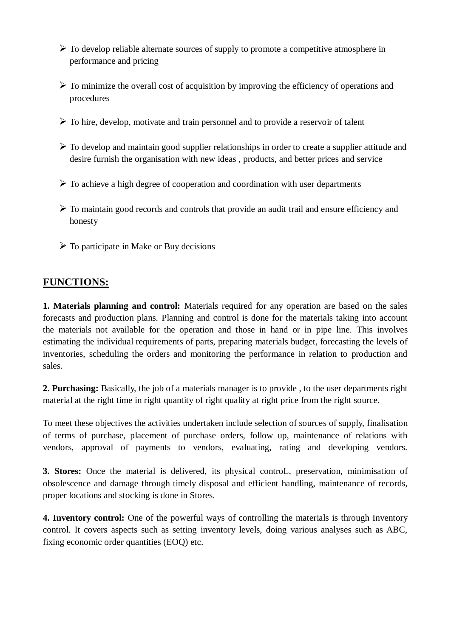- $\triangleright$  To develop reliable alternate sources of supply to promote a competitive atmosphere in performance and pricing
- $\triangleright$  To minimize the overall cost of acquisition by improving the efficiency of operations and procedures
- $\triangleright$  To hire, develop, motivate and train personnel and to provide a reservoir of talent
- $\triangleright$  To develop and maintain good supplier relationships in order to create a supplier attitude and desire furnish the organisation with new ideas , products, and better prices and service
- $\triangleright$  To achieve a high degree of cooperation and coordination with user departments
- $\triangleright$  To maintain good records and controls that provide an audit trail and ensure efficiency and honesty
- $\triangleright$  To participate in Make or Buy decisions

### **FUNCTIONS:**

**1. Materials planning and control:** Materials required for any operation are based on the sales forecasts and production plans. Planning and control is done for the materials taking into account the materials not available for the operation and those in hand or in pipe line. This involves estimating the individual requirements of parts, preparing materials budget, forecasting the levels of inventories, scheduling the orders and monitoring the performance in relation to production and sales.

**2. Purchasing:** Basically, the job of a materials manager is to provide , to the user departments right material at the right time in right quantity of right quality at right price from the right source.

To meet these objectives the activities undertaken include selection of sources of supply, finalisation of terms of purchase, placement of purchase orders, follow up, maintenance of relations with vendors, approval of payments to vendors, evaluating, rating and developing vendors.

**3. Stores:** Once the material is delivered, its physical controL, preservation, minimisation of obsolescence and damage through timely disposal and efficient handling, maintenance of records, proper locations and stocking is done in Stores.

**4. Inventory control:** One of the powerful ways of controlling the materials is through Inventory control. It covers aspects such as setting inventory levels, doing various analyses such as ABC, fixing economic order quantities (EOQ) etc.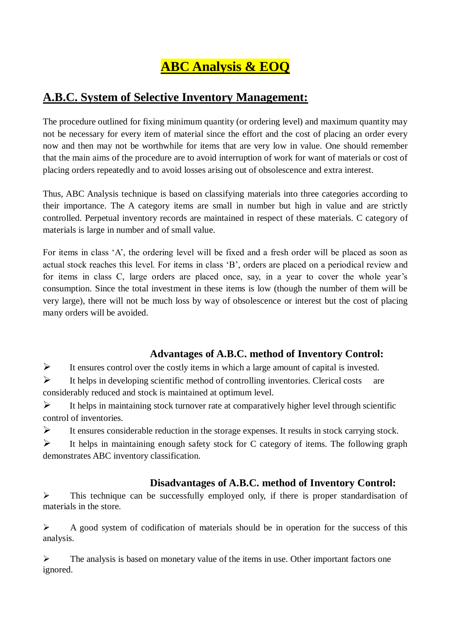# **ABC Analysis & EOQ**

# **A.B.C. System of Selective Inventory Management:**

The procedure outlined for fixing minimum quantity (or ordering level) and maximum quantity may not be necessary for every item of material since the effort and the cost of placing an order every now and then may not be worthwhile for items that are very low in value. One should remember that the main aims of the procedure are to avoid interruption of work for want of materials or cost of placing orders repeatedly and to avoid losses arising out of obsolescence and extra interest.

Thus, ABC Analysis technique is based on classifying materials into three categories according to their importance. The A category items are small in number but high in value and are strictly controlled. Perpetual inventory records are maintained in respect of these materials. C category of materials is large in number and of small value.

For items in class 'A', the ordering level will be fixed and a fresh order will be placed as soon as actual stock reaches this level. For items in class 'B', orders are placed on a periodical review and for items in class C, large orders are placed once, say, in a year to cover the whole year's consumption. Since the total investment in these items is low (though the number of them will be very large), there will not be much loss by way of obsolescence or interest but the cost of placing many orders will be avoided.

# **Advantages of A.B.C. method of Inventory Control:**

 $\triangleright$  It ensures control over the costly items in which a large amount of capital is invested.

 $\triangleright$  It helps in developing scientific method of controlling inventories. Clerical costs are considerably reduced and stock is maintained at optimum level.

 $\triangleright$  It helps in maintaining stock turnover rate at comparatively higher level through scientific control of inventories.

 $\triangleright$  It ensures considerable reduction in the storage expenses. It results in stock carrying stock.

 $\triangleright$  It helps in maintaining enough safety stock for C category of items. The following graph demonstrates ABC inventory classification.

### **Disadvantages of A.B.C. method of Inventory Control:**

 $\triangleright$  This technique can be successfully employed only, if there is proper standardisation of materials in the store.

 $\triangleright$  A good system of codification of materials should be in operation for the success of this analysis.

 $\triangleright$  The analysis is based on monetary value of the items in use. Other important factors one ignored.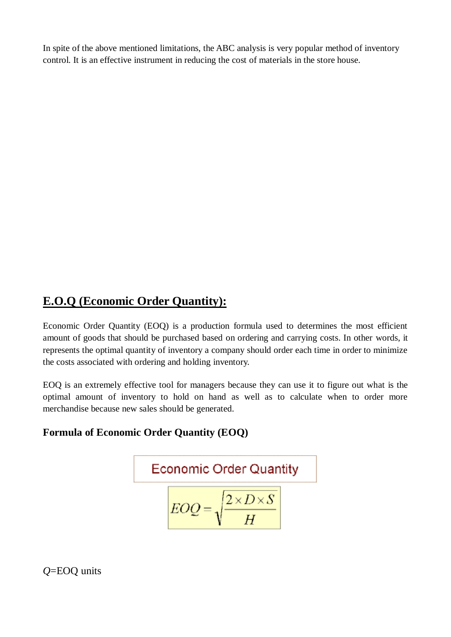In spite of the above mentioned limitations, the ABC analysis is very popular method of inventory control. It is an effective instrument in reducing the cost of materials in the store house.

# **E.O.Q (Economic Order Quantity):**

Economic Order Quantity (EOQ) is a production formula used to determines the most efficient amount of goods that should be purchased based on ordering and carrying costs. In other words, it represents the optimal quantity of inventory a company should order each time in order to minimize the costs associated with ordering and holding inventory.

EOQ is an extremely effective tool for managers because they can use it to figure out what is the optimal amount of inventory to hold on hand as well as to calculate when to order more merchandise because new sales should be generated.

### **Formula of Economic Order Quantity (EOQ)**

Economic Order Quantity  

$$
EOQ = \sqrt{\frac{2 \times D \times S}{H}}
$$

*Q*=EOQ units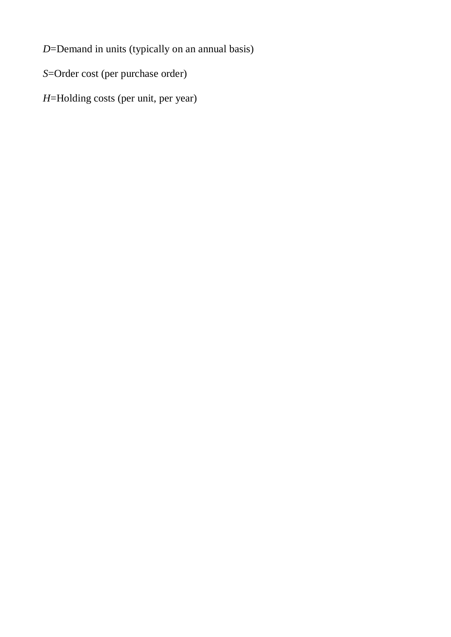*D*=Demand in units (typically on an annual basis)

*S*=Order cost (per purchase order)

*H*=Holding costs (per unit, per year)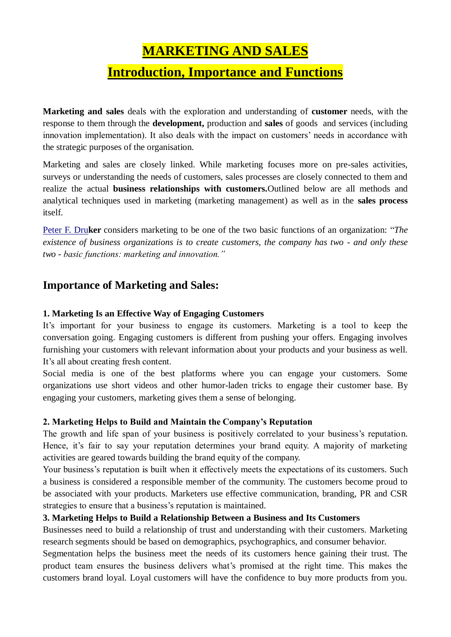# **MARKETING AND SALES**

# **Introduction, Importance and Functions**

**Marketing and sales** deals with the exploration and understanding of **customer** needs, with the response to them through the **development,** production and **sales** of goods and services (including innovation implementation). It also deals with the impact on customers' needs in accordance with the strategic purposes of the organisation.

Marketing and sales are closely linked. While marketing focuses more on pre-sales activities, surveys or understanding the needs of customers, sales processes are closely connected to them and realize the actual **business relationships with customers.**Outlined below are all methods and analytical techniques used in marketing (marketing management) as well as in the **sales process**  itself.

[Peter F. Dru](https://managementmania.com/en/peter-ferdinand-drucker)**ker** considers marketing to be one of the two basic functions of an organization: "*The existence of business organizations is to create customers, the company has two - and only these two - basic functions: marketing and innovation."*

### **Importance of Marketing and Sales:**

#### **1. Marketing Is an Effective Way of Engaging Customers**

It's important for your business to engage its customers. Marketing is a tool to keep the conversation going. Engaging customers is different from pushing your offers. Engaging involves furnishing your customers with relevant information about your products and your business as well. It's all about creating fresh content.

Social media is one of the best platforms where you can engage your customers. Some organizations use short videos and other humor-laden tricks to engage their customer base. By engaging your customers, marketing gives them a sense of belonging.

#### **2. Marketing Helps to Build and Maintain the Company's Reputation**

The growth and life span of your business is positively correlated to your business's reputation. Hence, it's fair to say your reputation determines your brand equity. A majority of marketing activities are geared towards building the brand equity of the company.

Your business's reputation is built when it effectively meets the expectations of its customers. Such a business is considered a responsible member of the community. The customers become proud to be associated with your products. Marketers use effective communication, branding, PR and CSR strategies to ensure that a business's reputation is maintained.

#### **3. Marketing Helps to Build a Relationship Between a Business and Its Customers**

Businesses need to build a relationship of trust and understanding with their customers. Marketing research segments should be based on [demographics, psychographics, and consumer behavior.](https://www.business2community.com/marketing/predicting-customer-behaviors-with-artificial-intelligence-02182056)

Segmentation helps the business meet the needs of its customers hence gaining their trust. The product team ensures the business delivers what's promised at the right time. This makes the customers brand loyal. Loyal customers will have the confidence to buy more products from you.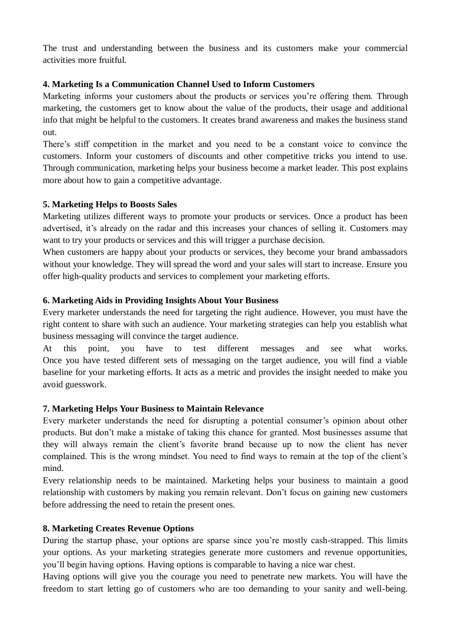The trust and understanding between the business and its customers make your commercial activities more fruitful.

#### **4. Marketing Is a Communication Channel Used to Inform Customers**

Marketing informs your customers about the products or services you're offering them. Through marketing, the customers get to know about the value of the products, their usage and additional info that might be helpful to the customers. It creates brand awareness and makes the business stand out.

There's stiff competition in the market and you need to be a constant voice to convince the customers. Inform your customers of discounts and other competitive tricks you intend to use. Through communication, marketing helps your business become a market leader. [This post](https://www.marketingandadvertisingdesigngroup.com/a-step-by-step-guide-to-marketing-your-business/) explains more about how to gain a competitive advantage.

#### **5. Marketing Helps to Boosts Sales**

Marketing utilizes different ways to promote your products or services. Once a product has been advertised, it's already on the radar and this increases your chances of selling it. Customers may want to try your products or services and this will trigger a purchase decision.

When customers are happy about your products or services, they become your brand ambassadors without your knowledge. They will spread the word and your sales will start to increase. Ensure you offer high-quality products and services to complement your marketing efforts.

#### **6. Marketing Aids in Providing Insights About Your Business**

Every marketer understands the need for targeting the right audience. However, you must have the right content to share with such an audience. Your marketing strategies can help you establish what business messaging will convince the target audience.

At this point, you have to test different messages and see what works. Once you have tested different sets of messaging on the target audience, you will find a viable baseline for your marketing efforts. It acts as a metric and provides the insight needed to make you avoid guesswork.

#### **7. Marketing Helps Your Business to Maintain Relevance**

Every marketer understands the need for disrupting a potential consumer's opinion about other products. But don't make a mistake of taking this chance for granted. Most businesses assume that they will always remain the client's favorite brand because up to now the client has never complained. This is the wrong mindset. You need to find ways to remain at the top of the client's mind.

Every relationship needs to be maintained. Marketing helps your business to maintain [a good](../Downloads/DIPLOMA%20ME/Unit%206%20(b)/word%20doc/_blank)  [relationship with customers](../Downloads/DIPLOMA%20ME/Unit%206%20(b)/word%20doc/_blank) by making you remain relevant. Don't focus on gaining new customers before addressing the need to retain the present ones.

#### **8. Marketing Creates Revenue Options**

During the startup phase, your options are sparse since you're mostly cash-strapped. This limits your options. As your marketing strategies generate more customers and revenue opportunities, you'll begin having options. Having options is comparable to having a nice war chest.

Having options will give you the courage you need to penetrate new markets. You will have the freedom to start letting go of customers who are too demanding to your sanity and well-being.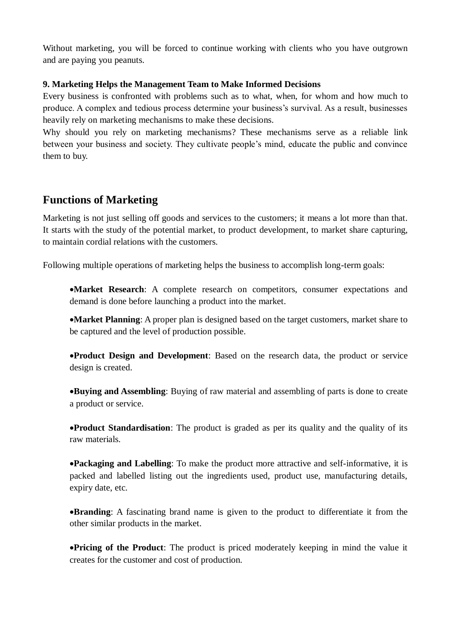Without marketing, you will be forced to continue working with clients who you have outgrown and are paying you peanuts.

#### **9. Marketing Helps the Management Team to Make Informed Decisions**

Every business is confronted with problems such as to what, when, for whom and how much to produce. A complex and tedious process determine your business's survival. As a result, businesses heavily rely on marketing mechanisms to make these decisions.

Why should you rely on marketing mechanisms? These mechanisms serve as a reliable link between your business and society. They cultivate people's mind, educate the public and convince them to buy.

# **Functions of Marketing**

Marketing is not just selling off goods and services to the customers; it means a lot more than that. It starts with the study of the potential market, to [product development,](https://theinvestorsbook.com/product-development.html) to market share capturing, to maintain cordial relations with the customers.

Following multiple operations of marketing helps the business to accomplish long-term goals:

**Market Research**: A complete research on competitors, consumer expectations and demand is done before launching a product into the market.

**Market Planning**: A proper plan is designed based on the target customers, market share to be captured and the level of production possible.

**Product Design and Development**: Based on the research data, the product or service design is created.

**Buying and Assembling**: Buying of raw material and assembling of parts is done to create a product or service.

**Product Standardisation**: The product is graded as per its quality and the quality of its raw materials.

**Packaging and Labelling**: To make the product more attractive and self-informative, it is packed and labelled listing out the ingredients used, product use, manufacturing details, expiry date, etc.

**Branding**: A fascinating brand name is given to the product to differentiate it from the other similar products in the market.

**Pricing of the Product**: The product is priced moderately keeping in mind the value it creates for the customer and cost of production.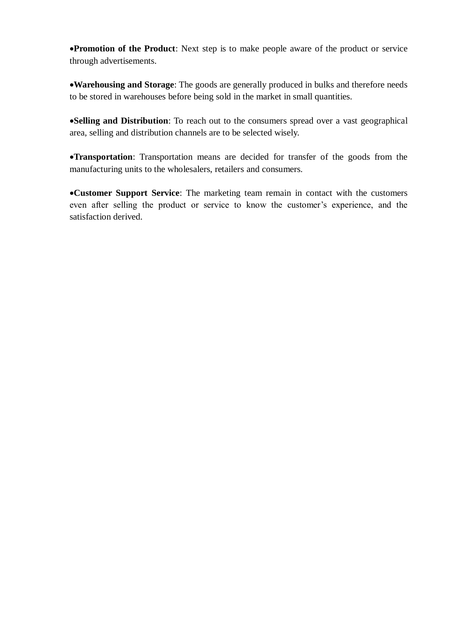**Promotion of the Product**: Next step is to make people aware of the product or service through advertisements.

**Warehousing and Storage**: The goods are generally produced in bulks and therefore needs to be stored in warehouses before being sold in the market in small quantities.

**Selling and Distribution**: To reach out to the consumers spread over a vast geographical area, selling and distribution channels are to be selected wisely.

**Transportation**: Transportation means are decided for transfer of the goods from the manufacturing units to the wholesalers, retailers and consumers.

**Customer Support Service**: The marketing team remain in contact with the customers even after selling the product or service to know the customer's experience, and the satisfaction derived.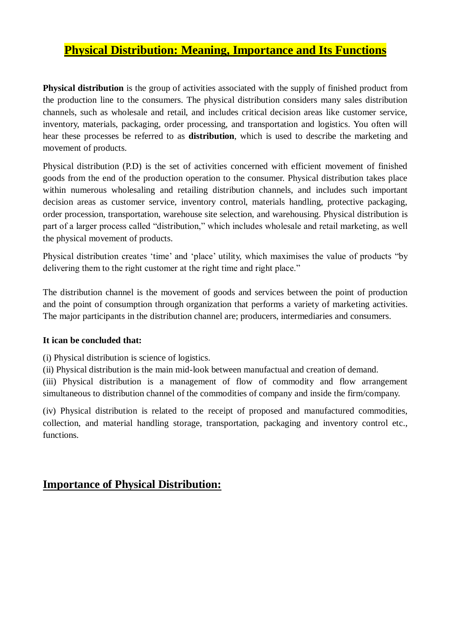# **Physical Distribution: Meaning, Importance and Its Functions**

**Physical distribution** is the group of activities associated with the supply of finished product from the production line to the consumers. The physical distribution considers many sales distribution channels, such as wholesale and retail, and includes critical decision areas like customer service, inventory, materials, packaging, order processing, and transportation and logistics. You often will hear these processes be referred to as **distribution**, which is used to describe the marketing and movement of products.

Physical distribution (P.D) is the set of activities concerned with efficient movement of finished goods from the end of the production operation to the consumer. Physical distribution takes place within numerous wholesaling and retailing distribution channels, and includes such important decision areas as customer service, inventory control, materials handling, protective packaging, order procession, transportation, warehouse site selection, and warehousing. Physical distribution is part of a larger process called "distribution," which includes wholesale and retail marketing, as well the physical movement of products.

Physical distribution creates 'time' and 'place' utility, which maximises the value of products "by delivering them to the right customer at the right time and right place."

The distribution channel is the movement of goods and services between the point of production and the point of consumption through organization that performs a variety of marketing activities. The major participants in the distribution channel are; producers, intermediaries and consumers.

#### **It ican be concluded that:**

(i) Physical distribution is science of logistics.

(ii) Physical distribution is the main mid-look between manufactual and creation of demand. (iii) Physical distribution is a management of flow of commodity and flow arrangement simultaneous to distribution channel of the commodities of company and inside the firm/company.

(iv) Physical distribution is related to the receipt of proposed and manufactured commodities, collection, and material handling storage, transportation, packaging and inventory control etc., functions.

### **Importance of Physical Distribution:**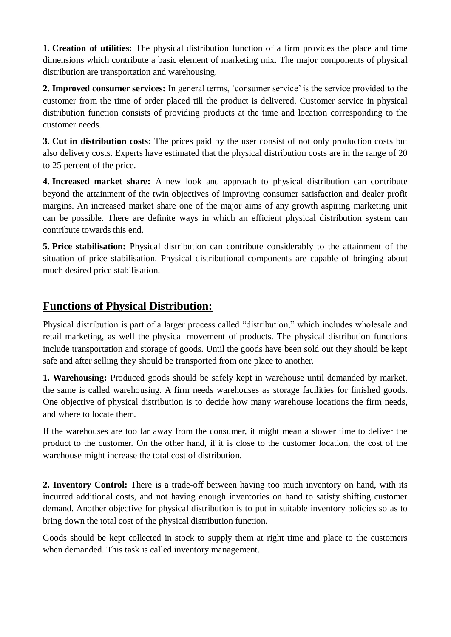**1. Creation of utilities:** The physical distribution function of a firm provides the place and time dimensions which contribute a basic element of marketing mix. The major components of physical distribution are transportation and warehousing.

**2. Improved consumer services:** In general terms, 'consumer service' is the service provided to the customer from the time of order placed till the product is delivered. Customer service in physical distribution function consists of providing products at the time and location corresponding to the customer needs.

**3. Cut in distribution costs:** The prices paid by the user consist of not only production costs but also delivery costs. Experts have estimated that the physical distribution costs are in the range of 20 to 25 percent of the price.

**4. Increased market share:** A new look and approach to physical distribution can contribute beyond the attainment of the twin objectives of improving consumer satisfaction and dealer profit margins. An increased market share one of the major aims of any growth aspiring marketing unit can be possible. There are definite ways in which an efficient physical distribution system can contribute towards this end.

**5. Price stabilisation:** Physical distribution can contribute considerably to the attainment of the situation of price stabilisation. Physical distributional components are capable of bringing about much desired price stabilisation.

# **Functions of Physical Distribution:**

Physical distribution is part of a larger process called "distribution," which includes wholesale and retail marketing, as well the physical movement of products. The physical distribution functions include transportation and storage of goods. Until the goods have been sold out they should be kept safe and after selling they should be transported from one place to another.

**1. Warehousing:** Produced goods should be safely kept in warehouse until demanded by market, the same is called warehousing. A firm needs warehouses as storage facilities for finished goods. One objective of physical distribution is to decide how many warehouse locations the firm needs, and where to locate them.

If the warehouses are too far away from the consumer, it might mean a slower time to deliver the product to the customer. On the other hand, if it is close to the customer location, the cost of the warehouse might increase the total cost of distribution.

**2. Inventory Control:** There is a trade-off between having too much inventory on hand, with its incurred additional costs, and not having enough inventories on hand to satisfy shifting customer demand. Another objective for physical distribution is to put in suitable inventory policies so as to bring down the total cost of the physical distribution function.

Goods should be kept collected in stock to supply them at right time and place to the customers when demanded. This task is called inventory management.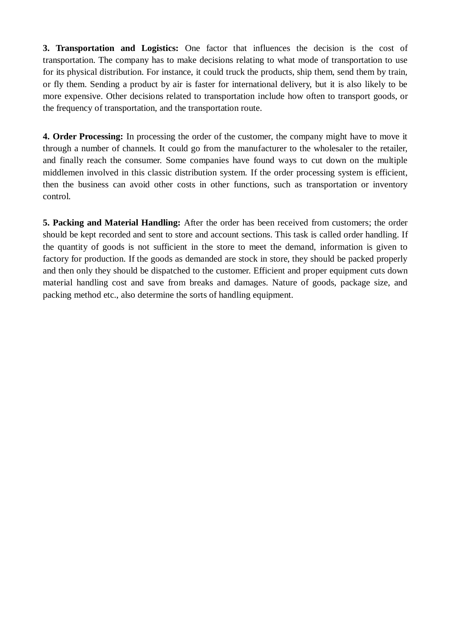**3. Transportation and Logistics:** One factor that influences the decision is the cost of transportation. The company has to make decisions relating to what mode of transportation to use for its physical distribution. For instance, it could truck the products, ship them, send them by train, or fly them. Sending a product by air is faster for international delivery, but it is also likely to be more expensive. Other decisions related to transportation include how often to transport goods, or the frequency of transportation, and the transportation route.

**4. Order Processing:** In processing the order of the customer, the company might have to move it through a number of channels. It could go from the manufacturer to the wholesaler to the retailer, and finally reach the consumer. Some companies have found ways to cut down on the multiple middlemen involved in this classic distribution system. If the order processing system is efficient, then the business can avoid other costs in other functions, such as transportation or inventory control.

**5. Packing and Material Handling:** After the order has been received from customers; the order should be kept recorded and sent to store and account sections. This task is called order handling. If the quantity of goods is not sufficient in the store to meet the demand, information is given to factory for production. If the goods as demanded are stock in store, they should be packed properly and then only they should be dispatched to the customer. Efficient and proper equipment cuts down material handling cost and save from breaks and damages. Nature of goods, package size, and packing method etc., also determine the sorts of handling equipment.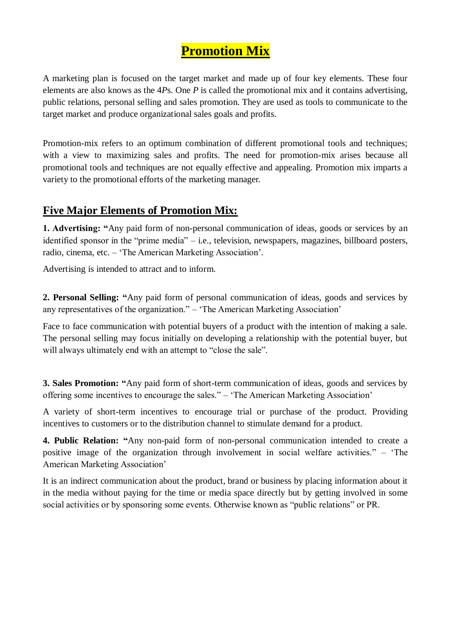# **Promotion Mix**

A marketing plan is focused on the target market and made up of four key elements. These four elements are also knows as the 4*P*s. One *P* is called the promotional mix and it contains advertising, public relations, personal selling and sales promotion. They are used as tools to communicate to the target market and produce organizational sales goals and profits.

Promotion-mix refers to an optimum combination of different promotional tools and techniques; with a view to maximizing sales and profits. The need for promotion-mix arises because all promotional tools and techniques are not equally effective and appealing. Promotion mix imparts a variety to the promotional efforts of the marketing manager.

# **Five Major Elements of Promotion Mix:**

**1. Advertising: "**Any paid form of non-personal communication of ideas, goods or services by an identified sponsor in the "prime media" – i.e., television, newspapers, magazines, billboard posters, radio, cinema, etc. – 'The American Marketing Association'.

Advertising is intended to attract and to inform.

**2. Personal Selling: "**Any paid form of personal communication of ideas, goods and services by any representatives of the organization." – 'The American Marketing Association'

Face to face communication with potential buyers of a product with the intention of making a sale. The personal selling may focus initially on developing a relationship with the potential buyer, but will always ultimately end with an attempt to "close the sale".

**3. Sales Promotion: "**Any paid form of short-term communication of ideas, goods and services by offering some incentives to encourage the sales." – 'The American Marketing Association'

A variety of short-term incentives to encourage trial or purchase of the product. Providing incentives to customers or to the distribution channel to stimulate demand for a product.

**4. Public Relation: "**Any non-paid form of non-personal communication intended to create a positive image of the organization through involvement in social welfare activities." – 'The American Marketing Association'

It is an indirect communication about the product, brand or business by placing information about it in the media without paying for the time or media space directly but by getting involved in some social activities or by sponsoring some events. Otherwise known as "public relations" or PR.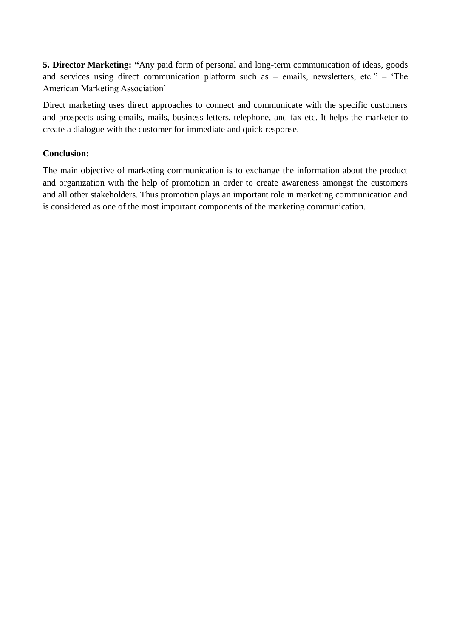**5. Director Marketing: "**Any paid form of personal and long-term communication of ideas, goods and services using direct communication platform such as – emails, newsletters, etc." – 'The American Marketing Association'

Direct marketing uses direct approaches to connect and communicate with the specific customers and prospects using emails, mails, business letters, telephone, and fax etc. It helps the marketer to create a dialogue with the customer for immediate and quick response.

#### **Conclusion:**

The main objective of marketing communication is to exchange the information about the product and organization with the help of promotion in order to create awareness amongst the customers and all other stakeholders. Thus promotion plays an important role in marketing communication and is considered as one of the most important components of the marketing communication.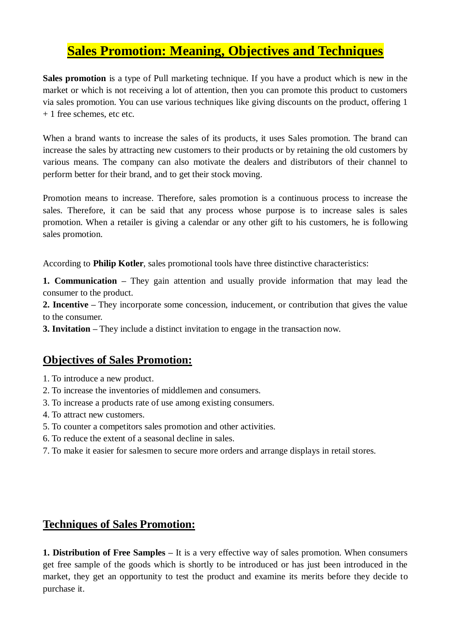# **Sales Promotion: Meaning, Objectives and Techniques**

**Sales promotion** is a type of Pull marketing technique. If you have a product which is new in the market or which is not receiving a lot of attention, then you can promote this product to customers via sales promotion. You can use various techniques like giving discounts on the product, offering 1 + 1 free schemes, etc etc.

When a brand wants to increase the sales of its products, it uses Sales promotion. The brand can increase the sales by attracting new customers to their products or by retaining the old customers by various means. The company can also motivate the dealers and distributors of their channel to perform better for their brand, and to get their stock moving.

Promotion means to increase. Therefore, sales promotion is a continuous process to increase the sales. Therefore, it can be said that any process whose purpose is to increase sales is sales promotion. When a retailer is giving a calendar or any other gift to his customers, he is following sales promotion.

According to **Philip Kotler**, sales promotional tools have three distinctive characteristics:

**1. Communication –** They gain attention and usually provide information that may lead the consumer to the product.

**2. Incentive –** They incorporate some concession, inducement, or contribution that gives the value to the consumer.

**3. Invitation –** They include a distinct invitation to engage in the transaction now.

# **Objectives of Sales Promotion:**

- 1. To introduce a new product.
- 2. To increase the inventories of middlemen and consumers.
- 3. To increase a products rate of use among existing consumers.
- 4. To attract new customers.
- 5. To counter a competitors sales promotion and other activities.
- 6. To reduce the extent of a seasonal decline in sales.
- 7. To make it easier for salesmen to secure more orders and arrange displays in retail stores.

# **Techniques of Sales Promotion:**

**1. Distribution of Free Samples –** It is a very effective way of sales promotion. When consumers get free sample of the goods which is shortly to be introduced or has just been introduced in the market, they get an opportunity to test the product and examine its merits before they decide to purchase it.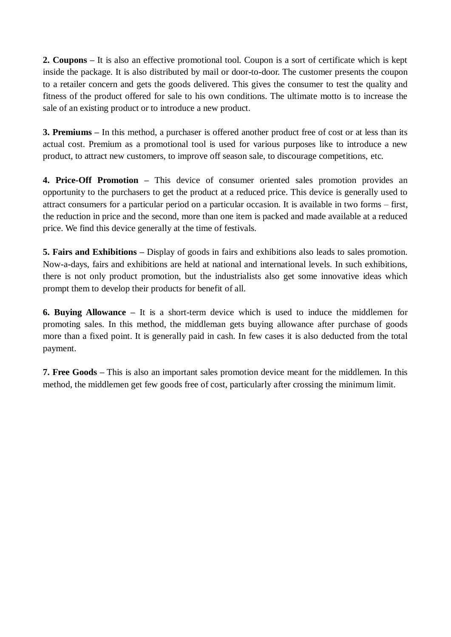**2. Coupons –** It is also an effective promotional tool. Coupon is a sort of certificate which is kept inside the package. It is also distributed by mail or door-to-door. The customer presents the coupon to a retailer concern and gets the goods delivered. This gives the consumer to test the quality and fitness of the product offered for sale to his own conditions. The ultimate motto is to increase the sale of an existing product or to introduce a new product.

**3. Premiums –** In this method, a purchaser is offered another product free of cost or at less than its actual cost. Premium as a promotional tool is used for various purposes like to introduce a new product, to attract new customers, to improve off season sale, to discourage competitions, etc.

**4. Price-Off Promotion –** This device of consumer oriented sales promotion provides an opportunity to the purchasers to get the product at a reduced price. This device is generally used to attract consumers for a particular period on a particular occasion. It is available in two forms – first, the reduction in price and the second, more than one item is packed and made available at a reduced price. We find this device generally at the time of festivals.

**5. Fairs and Exhibitions –** Display of goods in fairs and exhibitions also leads to sales promotion. Now-a-days, fairs and exhibitions are held at national and international levels. In such exhibitions, there is not only product promotion, but the industrialists also get some innovative ideas which prompt them to develop their products for benefit of all.

**6. Buying Allowance –** It is a short-term device which is used to induce the middlemen for promoting sales. In this method, the middleman gets buying allowance after purchase of goods more than a fixed point. It is generally paid in cash. In few cases it is also deducted from the total payment.

**7. Free Goods –** This is also an important sales promotion device meant for the middlemen. In this method, the middlemen get few goods free of cost, particularly after crossing the minimum limit.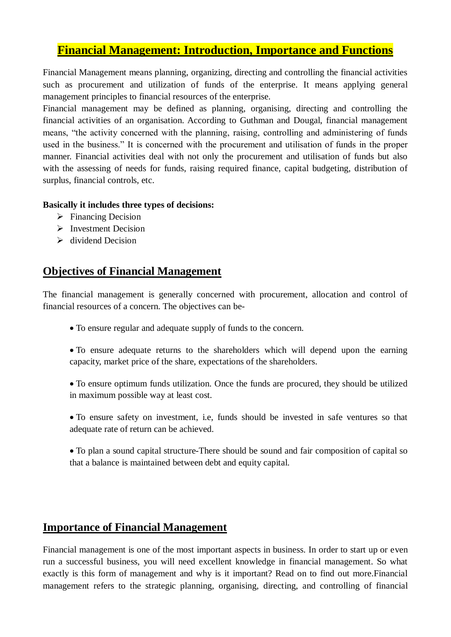# **Financial Management: Introduction, Importance and Functions**

Financial Management means planning, organizing, directing and controlling the financial activities such as procurement and utilization of funds of the enterprise. It means applying general management principles to financial resources of the enterprise.

Financial management may be defined as planning, organising, directing and controlling the financial activities of an organisation. According to Guthman and Dougal, financial management means, "the activity concerned with the planning, raising, controlling and administering of funds used in the business." It is concerned with the procurement and utilisation of funds in the proper manner. Financial activities deal with not only the procurement and utilisation of funds but also with the assessing of needs for funds, raising required finance, capital budgeting, distribution of surplus, financial controls, etc.

#### **Basically it includes three types of decisions:**

- $\triangleright$  Financing Decision
- $\triangleright$  Investment Decision
- $\triangleright$  dividend Decision

### **Objectives of Financial Management**

The financial management is generally concerned with procurement, allocation and control of financial resources of a concern. The objectives can be-

- To ensure regular and adequate supply of funds to the concern.
- To ensure adequate returns to the shareholders which will depend upon the earning capacity, market price of the share, expectations of the shareholders.
- To ensure optimum funds utilization. Once the funds are procured, they should be utilized in maximum possible way at least cost.
- To ensure safety on investment, i.e, funds should be invested in safe ventures so that adequate rate of return can be achieved.

 To plan a sound capital structure-There should be sound and fair composition of capital so that a balance is maintained between debt and equity capital.

# **Importance of Financial Management**

Financial management is one of the most important aspects in business. In order to start up or even run a successful business, you will need excellent knowledge in financial management. So what exactly is this form of management and why is it important? Read on to find out more.Financial management refers to the strategic planning, organising, directing, and controlling of financial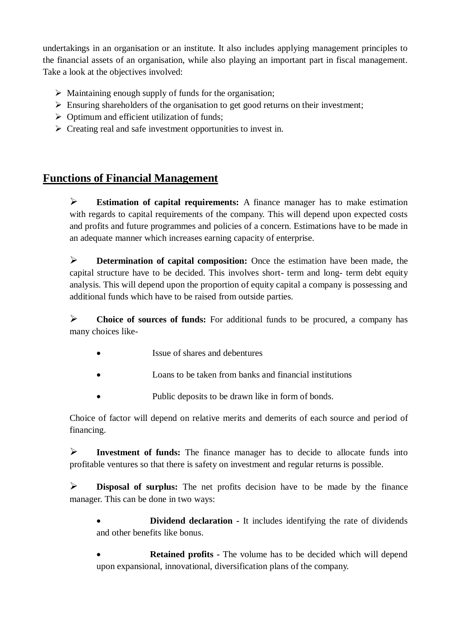undertakings in an organisation or an institute. It also includes applying management principles to the financial assets of an organisation, while also playing an important part in fiscal management. Take a look at the objectives involved:

- $\triangleright$  Maintaining enough supply of funds for the organisation;
- $\triangleright$  Ensuring shareholders of the organisation to get good returns on their investment;
- $\triangleright$  Optimum and efficient utilization of funds;
- $\triangleright$  Creating real and safe investment opportunities to invest in.

# **Functions of Financial Management**

 **Estimation of capital requirements:** A finance manager has to make estimation with regards to capital requirements of the company. This will depend upon expected costs and profits and future programmes and policies of a concern. Estimations have to be made in an adequate manner which increases earning capacity of enterprise.

**Determination of capital composition:** Once the estimation have been made, the capital structure have to be decided. This involves short- term and long- term debt equity analysis. This will depend upon the proportion of equity capital a company is possessing and additional funds which have to be raised from outside parties.

 **Choice of sources of funds:** For additional funds to be procured, a company has many choices like-

- Issue of shares and debentures
- Loans to be taken from banks and financial institutions
- Public deposits to be drawn like in form of bonds.

Choice of factor will depend on relative merits and demerits of each source and period of financing.

 **Investment of funds:** The finance manager has to decide to allocate funds into profitable ventures so that there is safety on investment and regular returns is possible.

 **Disposal of surplus:** The net profits decision have to be made by the finance manager. This can be done in two ways:

 **Dividend declaration -** It includes identifying the rate of dividends and other benefits like bonus.

 **Retained profits -** The volume has to be decided which will depend upon expansional, innovational, diversification plans of the company.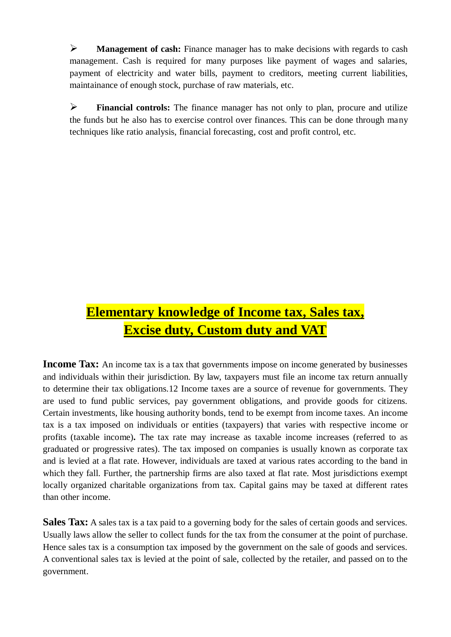**Management of cash:** Finance manager has to make decisions with regards to cash management. Cash is required for many purposes like payment of wages and salaries, payment of electricity and water bills, payment to creditors, meeting current liabilities, maintainance of enough stock, purchase of raw materials, etc.

 **Financial controls:** The finance manager has not only to plan, procure and utilize the funds but he also has to exercise control over finances. This can be done through many techniques like ratio analysis, financial forecasting, cost and profit control, etc.

# **Elementary knowledge of Income tax, Sales tax, Excise duty, Custom duty and VAT**

**Income Tax:** An income tax is a tax that governments impose on income generated by businesses and individuals within their jurisdiction. By law, [taxpayers](https://www.investopedia.com/terms/t/taxpayer.asp) must file an income tax return annually to determine their tax obligations.12 Income taxes are a source of revenue for governments. They are used to fund public services, pay government obligations, and provide goods for citizens. Certain investments, like [housing authority bonds,](https://www.investopedia.com/terms/h/housing-authority-bonds.asp) tend to be exempt from income taxes. An income tax is a tax imposed on individuals or entities [\(taxpayers\)](https://en.wikipedia.org/wiki/Taxpayers) that varies with respective income or profits [\(taxable income\)](https://en.wikipedia.org/wiki/Taxable_income)**.** The tax rate may increase as taxable income increases (referred to as graduated or progressive rates). The tax imposed on companies is usually known as [corporate tax](https://en.wikipedia.org/wiki/Corporate_tax) and is levied at a flat rate. However, individuals are taxed at various rates according to the band in which they fall. Further, the partnership firms are also taxed at flat rate. Most jurisdictions exempt locally organized [charitable organizations](https://en.wikipedia.org/wiki/Charities) from tax. [Capital gains](https://en.wikipedia.org/wiki/Capital_gain) may be taxed at different rates than other income.

**Sales Tax:** A sales tax is a tax paid to a governing body for the sales of certain goods and services. Usually laws allow the seller to collect funds for the tax from the consumer at the [point of purchase.](https://en.wikipedia.org/wiki/Point_of_purchase) Hence sales tax is a consumption tax imposed by the government on the sale of goods and services. A conventional sales tax is levied at the [point of sale,](https://www.investopedia.com/terms/p/point-of-sale.asp) collected by the retailer, and passed on to the government.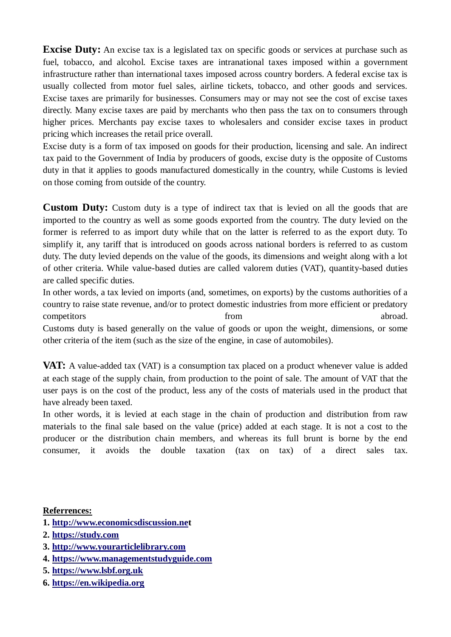**Excise Duty:** An excise tax is a legislated tax on specific goods or services at purchase such as fuel, tobacco, and alcohol. Excise taxes are intranational taxes imposed within a government infrastructure rather than international taxes imposed across country borders. A federal excise tax is usually collected from motor fuel sales, airline tickets, tobacco, and other goods and services. Excise taxes are primarily for businesses. Consumers may or may not see the cost of excise taxes directly. Many excise taxes are paid by merchants who then pass the tax on to consumers through higher prices. Merchants pay excise taxes to wholesalers and consider excise taxes in product pricing which increases the retail price overall.

Excise duty is a form of tax imposed on goods for their production, licensing and sale. An indirect tax paid to the Government of India by producers of goods, excise duty is the opposite of Customs duty in that it applies to goods manufactured domestically in the country, while Customs is levied on those coming from outside of the country.

**Custom Duty:** Custom duty is a type of indirect tax that is levied on all the goods that are imported to the country as well as some goods exported from the country. The duty levied on the former is referred to as import duty while that on the latter is referred to as the export duty. To simplify it, any tariff that is introduced on goods across national borders is referred to as custom duty. The duty levied depends on the value of the goods, its dimensions and weight along with a lot of other criteria. While value-based duties are called valorem duties (VAT), quantity-based duties are called specific duties.

In other words, a tax levied on imports (and, sometimes, on exports) by the customs authorities of a country to raise state revenue, and/or to protect domestic industries from more efficient or predatory competitors abroad. Customs duty is based generally on the value of goods or upon the weight, dimensions, or some other criteria of the item (such as the size of the engine, in case of automobiles).

**VAT:** A value-added tax (VAT) is a consumption tax placed on a product whenever value is added at each stage of the supply chain, from production to the point of sale. The amount of VAT that the user pays is on the cost of the product, less any of the costs of materials used in the product that have already been taxed.

In other words, it is levied at each stage in the chain of production and distribution from raw materials to the final sale based on the value (price) added at each stage. It is not a cost to the producer or the distribution chain members, and whereas its full brunt is borne by the end consumer, it avoids the double taxation (tax on tax) of a direct sales tax.

#### **Referrences:**

- **1. [http://www.economicsdiscussion.net](http://www.economicsdiscussion.net/)**
- **2. [https://study.com](https://study.com/)**
- **3. [http://www.yourarticlelibrary.com](http://www.yourarticlelibrary.com/)**
- **4. [https://www.managementstudyguide.com](https://www.managementstudyguide.com/)**
- **5. [https://www.lsbf.org.uk](https://www.lsbf.org.uk/)**
- **6. [https://en.wikipedia.org](https://en.wikipedia.org/)**